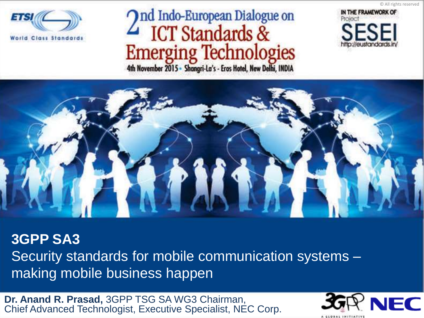

# And Indo-European Dialogue on ICT Standards & Emerging Technologies



© All rights reserved



**3GPP SA3**  Security standards for mobile communication systems – making mobile business happen

**Dr. Anand R. Prasad,** 3GPP TSG SA WG3 Chairman, Chief Advanced Technologist, Executive Specialist, NEC Corp.

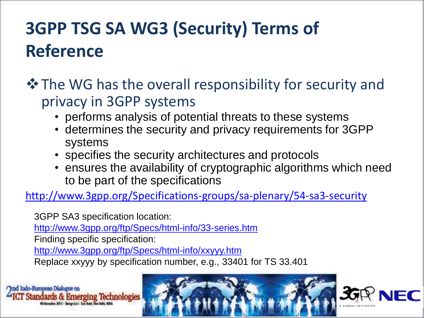## **3GPP TSG SA WG3 (Security) Terms of Reference**

#### $\lozenge$  The WG has the overall responsibility for security and privacy in 3GPP systems

- performs analysis of potential threats to these systems
- determines the security and privacy requirements for 3GPP systems
- specifies the security architectures and protocols
- ensures the availability of cryptographic algorithms which need to be part of the specifications

<http://www.3gpp.org/Specifications-groups/sa-plenary/54-sa3-security>

3GPP SA3 specification location: <http://www.3gpp.org/ftp/Specs/html-info/33-series.htm> Finding specific specification: <http://www.3gpp.org/ftp/Specs/html-info/xxyyy.htm>

Replace xxyyy by specification number, e.g., 33401 for TS 33.401

Indo-European Dialog & Emerging Technologies



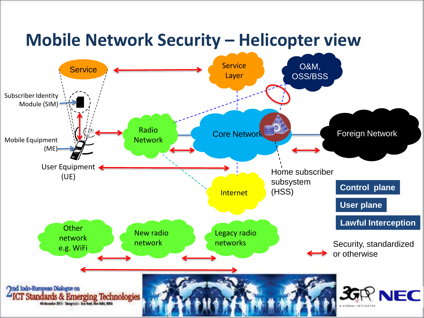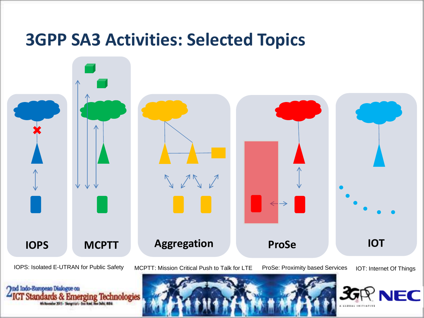### **3GPP SA3 Activities: Selected Topics**



**Ond Indo-European Dialogue on** 

IOPS: Isolated E-UTRAN for Public Safety MCPTT: Mission Critical Push to Talk for LTE ProSe: Proximity based Services IOT: Internet Of Things





erging Technologies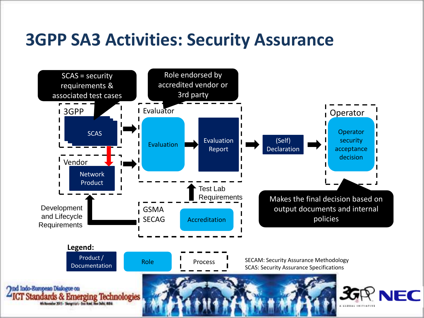### **3GPP SA3 Activities: Security Assurance**